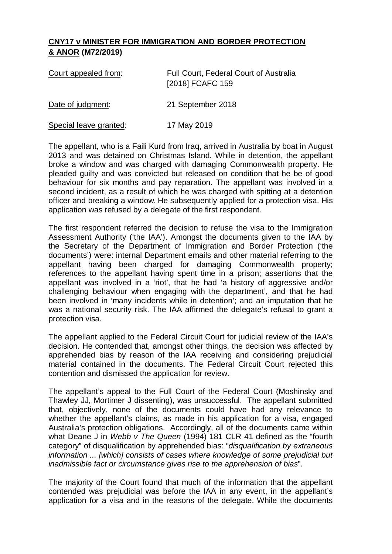## **CNY17 v MINISTER FOR IMMIGRATION AND BORDER PROTECTION & ANOR (M72/2019)**

| Court appealed from:   | Full Court, Federal Court of Australia<br>[2018] FCAFC 159 |
|------------------------|------------------------------------------------------------|
| Date of judgment:      | 21 September 2018                                          |
| Special leave granted: | 17 May 2019                                                |

The appellant, who is a Faili Kurd from Iraq, arrived in Australia by boat in August 2013 and was detained on Christmas Island. While in detention, the appellant broke a window and was charged with damaging Commonwealth property. He pleaded guilty and was convicted but released on condition that he be of good behaviour for six months and pay reparation. The appellant was involved in a second incident, as a result of which he was charged with spitting at a detention officer and breaking a window. He subsequently applied for a protection visa. His application was refused by a delegate of the first respondent.

The first respondent referred the decision to refuse the visa to the Immigration Assessment Authority ('the IAA'). Amongst the documents given to the IAA by the Secretary of the Department of Immigration and Border Protection ('the documents') were: internal Department emails and other material referring to the appellant having been charged for damaging Commonwealth property; references to the appellant having spent time in a prison; assertions that the appellant was involved in a 'riot', that he had 'a history of aggressive and/or challenging behaviour when engaging with the department', and that he had been involved in 'many incidents while in detention'; and an imputation that he was a national security risk. The IAA affirmed the delegate's refusal to grant a protection visa.

The appellant applied to the Federal Circuit Court for judicial review of the IAA's decision. He contended that, amongst other things, the decision was affected by apprehended bias by reason of the IAA receiving and considering prejudicial material contained in the documents. The Federal Circuit Court rejected this contention and dismissed the application for review.

The appellant's appeal to the Full Court of the Federal Court (Moshinsky and Thawley JJ, Mortimer J dissenting), was unsuccessful. The appellant submitted that, objectively, none of the documents could have had any relevance to whether the appellant's claims, as made in his application for a visa, engaged Australia's protection obligations. Accordingly, all of the documents came within what Deane J in *Webb v The Queen* (1994) 181 CLR 41 defined as the "fourth category" of disqualification by apprehended bias: "*disqualification by extraneous information ... [which] consists of cases where knowledge of some prejudicial but inadmissible fact or circumstance gives rise to the apprehension of bias*".

The majority of the Court found that much of the information that the appellant contended was prejudicial was before the IAA in any event, in the appellant's application for a visa and in the reasons of the delegate. While the documents